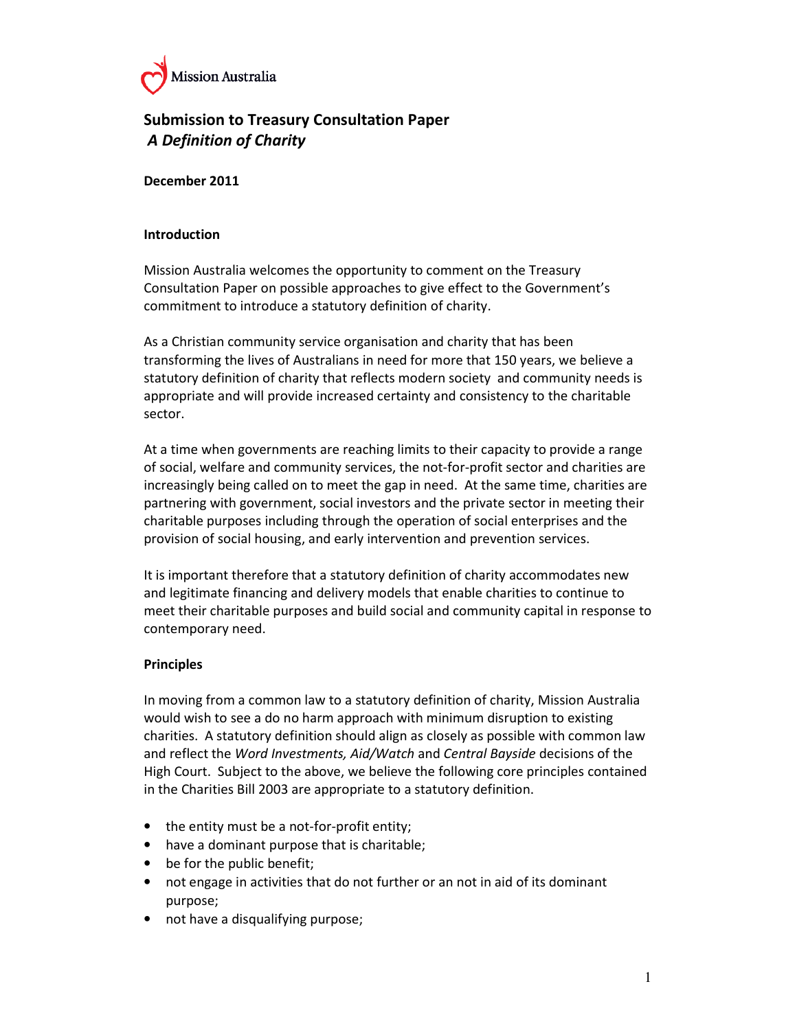

# Submission to Treasury Consultation Paper A Definition of Charity

## December 2011

#### Introduction

 Mission Australia welcomes the opportunity to comment on the Treasury Consultation Paper on possible approaches to give effect to the Government's commitment to introduce a statutory definition of charity.

 As a Christian community service organisation and charity that has been transforming the lives of Australians in need for more that 150 years, we believe a statutory definition of charity that reflects modern society and community needs is appropriate and will provide increased certainty and consistency to the charitable sector.

 At a time when governments are reaching limits to their capacity to provide a range of social, welfare and community services, the not-for-profit sector and charities are increasingly being called on to meet the gap in need. At the same time, charities are partnering with government, social investors and the private sector in meeting their charitable purposes including through the operation of social enterprises and the provision of social housing, and early intervention and prevention services.

 It is important therefore that a statutory definition of charity accommodates new and legitimate financing and delivery models that enable charities to continue to meet their charitable purposes and build social and community capital in response to contemporary need.

#### Principles

 In moving from a common law to a statutory definition of charity, Mission Australia would wish to see a do no harm approach with minimum disruption to existing charities. A statutory definition should align as closely as possible with common law and reflect the Word Investments, Aid/Watch and Central Bayside decisions of the High Court. Subject to the above, we believe the following core principles contained in the Charities Bill 2003 are appropriate to a statutory definition.

- the entity must be a not-for-profit entity;
- have a dominant purpose that is charitable;
- be for the public benefit;
- not engage in activities that do not further or an not in aid of its dominant purpose;
- not have a disqualifying purpose;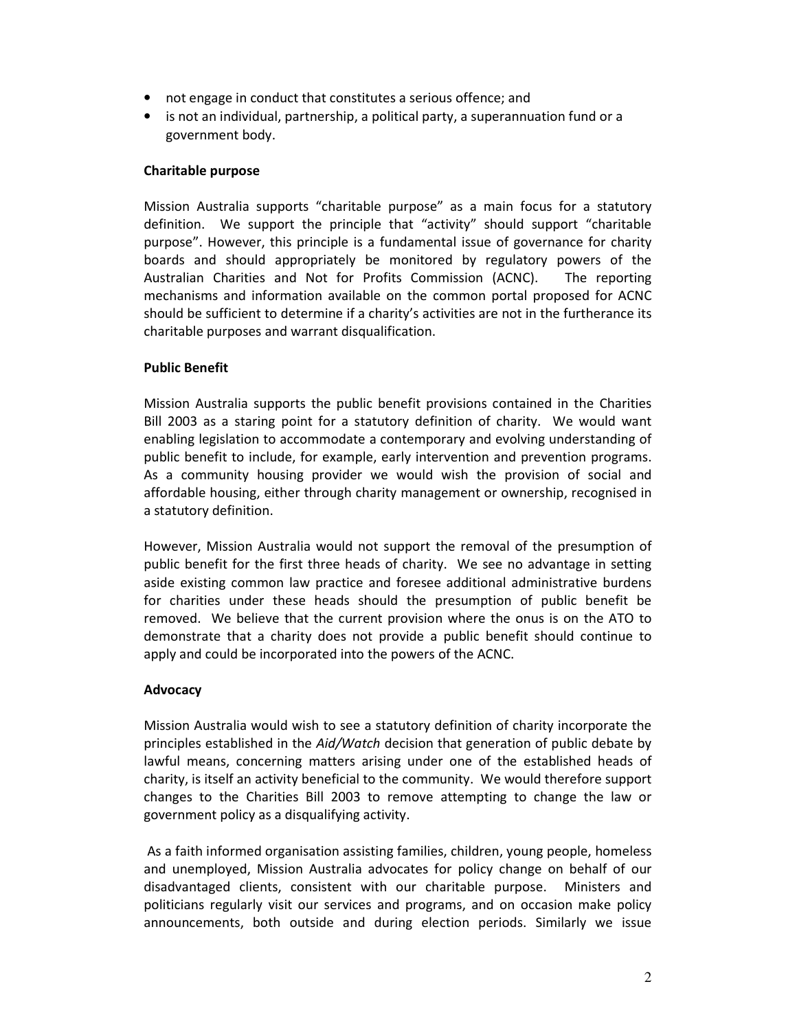- not engage in conduct that constitutes a serious offence; and
- is not an individual, partnership, a political party, a superannuation fund or a government body.

## Charitable purpose

 Mission Australia supports "charitable purpose" as a main focus for a statutory definition. We support the principle that "activity" should support "charitable purpose". However, this principle is a fundamental issue of governance for charity boards and should appropriately be monitored by regulatory powers of the Australian Charities and Not for Profits Commission (ACNC). The reporting mechanisms and information available on the common portal proposed for ACNC should be sufficient to determine if a charity's activities are not in the furtherance its charitable purposes and warrant disqualification.

# Public Benefit

 Mission Australia supports the public benefit provisions contained in the Charities Bill 2003 as a staring point for a statutory definition of charity. We would want enabling legislation to accommodate a contemporary and evolving understanding of public benefit to include, for example, early intervention and prevention programs. As a community housing provider we would wish the provision of social and affordable housing, either through charity management or ownership, recognised in a statutory definition.

 However, Mission Australia would not support the removal of the presumption of public benefit for the first three heads of charity. We see no advantage in setting aside existing common law practice and foresee additional administrative burdens for charities under these heads should the presumption of public benefit be removed. We believe that the current provision where the onus is on the ATO to demonstrate that a charity does not provide a public benefit should continue to apply and could be incorporated into the powers of the ACNC.

## Advocacy

 Mission Australia would wish to see a statutory definition of charity incorporate the principles established in the Aid/Watch decision that generation of public debate by lawful means, concerning matters arising under one of the established heads of charity, is itself an activity beneficial to the community. We would therefore support changes to the Charities Bill 2003 to remove attempting to change the law or government policy as a disqualifying activity.

 As a faith informed organisation assisting families, children, young people, homeless and unemployed, Mission Australia advocates for policy change on behalf of our disadvantaged clients, consistent with our charitable purpose. Ministers and politicians regularly visit our services and programs, and on occasion make policy announcements, both outside and during election periods. Similarly we issue